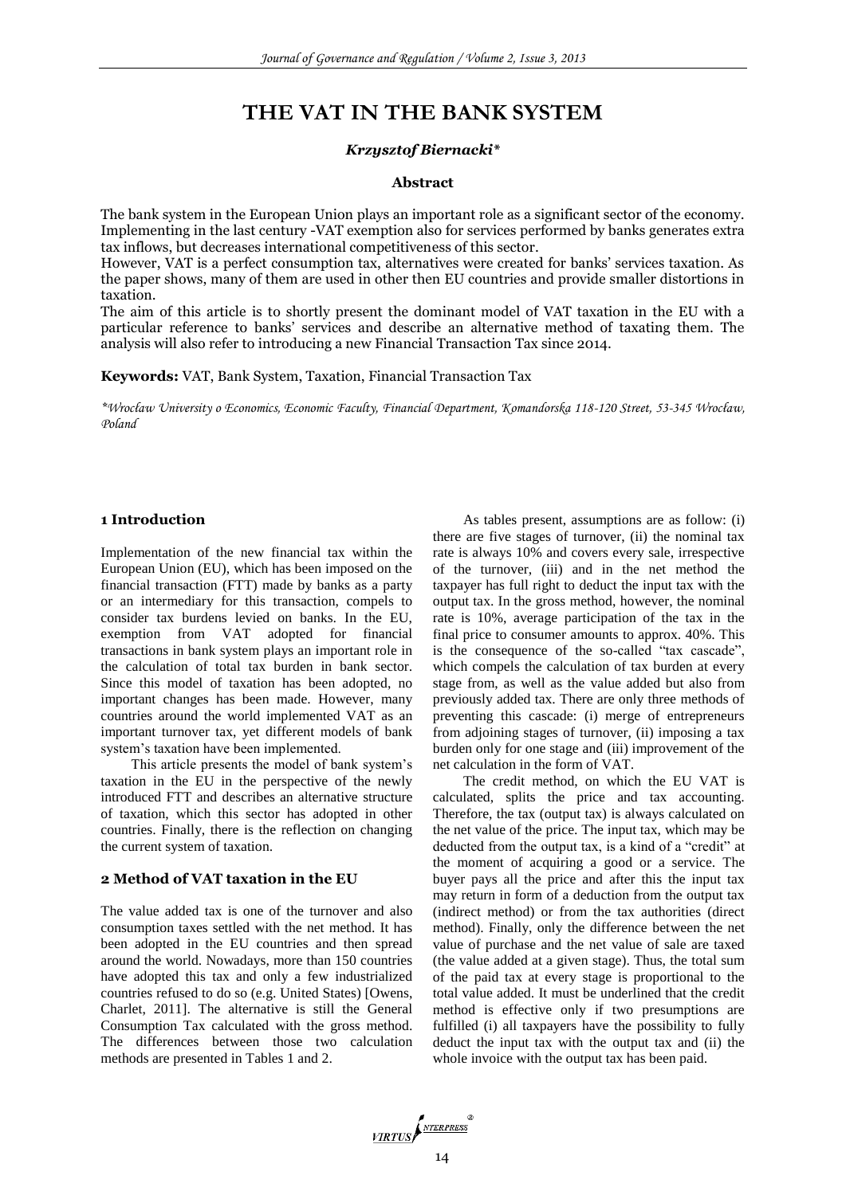# **THE VAT IN THE BANK SYSTEM**

#### *Krzysztof Biernacki\**

#### **Abstract**

The bank system in the European Union plays an important role as a significant sector of the economy. Implementing in the last century -VAT exemption also for services performed by banks generates extra tax inflows, but decreases international competitiveness of this sector.

However, VAT is a perfect consumption tax, alternatives were created for banks' services taxation. As the paper shows, many of them are used in other then EU countries and provide smaller distortions in taxation.

The aim of this article is to shortly present the dominant model of VAT taxation in the EU with a particular reference to banks' services and describe an alternative method of taxating them. The analysis will also refer to introducing a new Financial Transaction Tax since 2014.

**Keywords:** VAT, Bank System, Taxation, Financial Transaction Tax

*\*Wrocław University o Economics, Economic Faculty, Financial Department, Komandorska 118-120 Street, 53-345 Wrocław, Poland*

## **1 Introduction**

Implementation of the new financial tax within the European Union (EU), which has been imposed on the financial transaction (FTT) made by banks as a party or an intermediary for this transaction, compels to consider tax burdens levied on banks. In the EU, exemption from VAT adopted for financial transactions in bank system plays an important role in the calculation of total tax burden in bank sector. Since this model of taxation has been adopted, no important changes has been made. However, many countries around the world implemented VAT as an important turnover tax, yet different models of bank system's taxation have been implemented.

This article presents the model of bank system's taxation in the EU in the perspective of the newly introduced FTT and describes an alternative structure of taxation, which this sector has adopted in other countries. Finally, there is the reflection on changing the current system of taxation.

#### **2 Method of VAT taxation in the EU**

The value added tax is one of the turnover and also consumption taxes settled with the net method. It has been adopted in the EU countries and then spread around the world. Nowadays, more than 150 countries have adopted this tax and only a few industrialized countries refused to do so (e.g. United States) [Owens, Charlet, 2011]. The alternative is still the General Consumption Tax calculated with the gross method. The differences between those two calculation methods are presented in Tables 1 and 2.

As tables present, assumptions are as follow: (i) there are five stages of turnover, (ii) the nominal tax rate is always 10% and covers every sale, irrespective of the turnover, (iii) and in the net method the taxpayer has full right to deduct the input tax with the output tax. In the gross method, however, the nominal rate is 10%, average participation of the tax in the final price to consumer amounts to approx. 40%. This is the consequence of the so-called "tax cascade", which compels the calculation of tax burden at every stage from, as well as the value added but also from previously added tax. There are only three methods of preventing this cascade: (i) merge of entrepreneurs from adjoining stages of turnover, (ii) imposing a tax burden only for one stage and (iii) improvement of the net calculation in the form of VAT.

The credit method, on which the EU VAT is calculated, splits the price and tax accounting. Therefore, the tax (output tax) is always calculated on the net value of the price. The input tax, which may be deducted from the output tax, is a kind of a "credit" at the moment of acquiring a good or a service. The buyer pays all the price and after this the input tax may return in form of a deduction from the output tax (indirect method) or from the tax authorities (direct method). Finally, only the difference between the net value of purchase and the net value of sale are taxed (the value added at a given stage). Thus, the total sum of the paid tax at every stage is proportional to the total value added. It must be underlined that the credit method is effective only if two presumptions are fulfilled (i) all taxpayers have the possibility to fully deduct the input tax with the output tax and (ii) the whole invoice with the output tax has been paid.

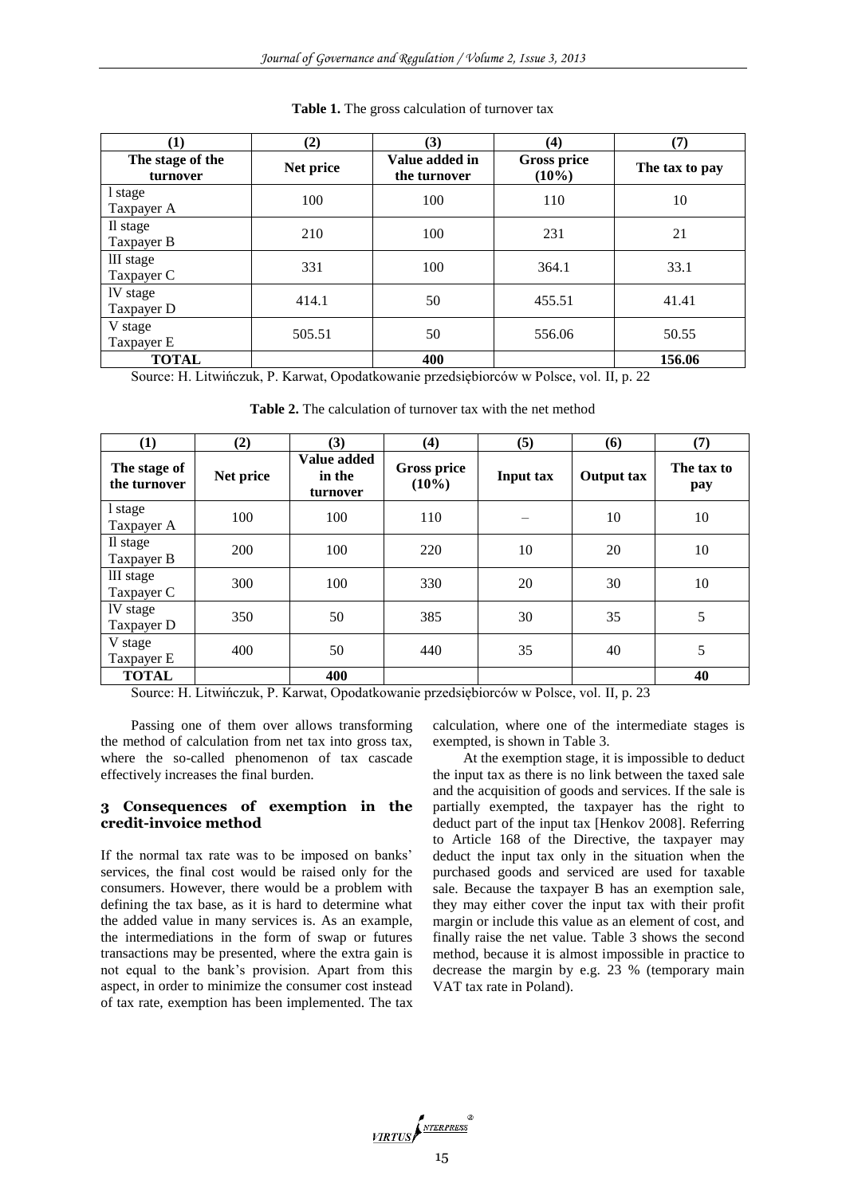| (1)                          | (2)       | (3)                            | (4)                            | (7)            |
|------------------------------|-----------|--------------------------------|--------------------------------|----------------|
| The stage of the<br>turnover | Net price | Value added in<br>the turnover | <b>Gross price</b><br>$(10\%)$ | The tax to pay |
| 1 stage<br>Taxpayer A        | 100       | 100                            | 110                            | 10             |
| Il stage<br>Taxpayer B       | 210       | 100                            | 231                            | 21             |
| III stage<br>Taxpayer C      | 331       | 100                            | 364.1                          | 33.1           |
| IV stage<br>Taxpayer D       | 414.1     | 50                             | 455.51                         | 41.41          |
| V stage<br>Taxpayer E        | 505.51    | 50                             | 556.06                         | 50.55          |
| <b>TOTAL</b>                 |           | 400                            |                                | 156.06         |

**Table 1.** The gross calculation of turnover tax

Source: H. Litwińczuk, P. Karwat, Opodatkowanie przedsiębiorców w Polsce, vol. II, p. 22

| (1)                          | (2)       | (3)                               | (4)                            | (5)       | (6)               | (7)               |
|------------------------------|-----------|-----------------------------------|--------------------------------|-----------|-------------------|-------------------|
| The stage of<br>the turnover | Net price | Value added<br>in the<br>turnover | <b>Gross price</b><br>$(10\%)$ | Input tax | <b>Output tax</b> | The tax to<br>pay |
| l stage<br>Taxpayer A        | 100       | 100                               | 110                            |           | 10                | 10                |
| Il stage<br>Taxpayer B       | 200       | 100                               | 220                            | 10        | 20                | 10                |
| III stage<br>Taxpayer C      | 300       | 100                               | 330                            | 20        | 30                | 10                |
| IV stage<br>Taxpayer D       | 350       | 50                                | 385                            | 30        | 35                | 5                 |
| V stage<br>Taxpayer E        | 400       | 50                                | 440                            | 35        | 40                | 5                 |
| <b>TOTAL</b>                 |           | 400                               |                                |           |                   | 40                |

**Table 2.** The calculation of turnover tax with the net method

Source: H. Litwińczuk, P. Karwat, Opodatkowanie przedsiębiorców w Polsce, vol. II, p. 23

Passing one of them over allows transforming the method of calculation from net tax into gross tax, where the so-called phenomenon of tax cascade effectively increases the final burden.

#### **3 Consequences of exemption in the credit-invoice method**

If the normal tax rate was to be imposed on banks' services, the final cost would be raised only for the consumers. However, there would be a problem with defining the tax base, as it is hard to determine what the added value in many services is. As an example, the intermediations in the form of swap or futures transactions may be presented, where the extra gain is not equal to the bank's provision. Apart from this aspect, in order to minimize the consumer cost instead of tax rate, exemption has been implemented. The tax

calculation, where one of the intermediate stages is exempted, is shown in Table 3.

At the exemption stage, it is impossible to deduct the input tax as there is no link between the taxed sale and the acquisition of goods and services. If the sale is partially exempted, the taxpayer has the right to deduct part of the input tax [Henkov 2008]. Referring to Article 168 of the Directive, the taxpayer may deduct the input tax only in the situation when the purchased goods and serviced are used for taxable sale. Because the taxpayer B has an exemption sale, they may either cover the input tax with their profit margin or include this value as an element of cost, and finally raise the net value. Table 3 shows the second method, because it is almost impossible in practice to decrease the margin by e.g. 23 % (temporary main VAT tax rate in Poland).

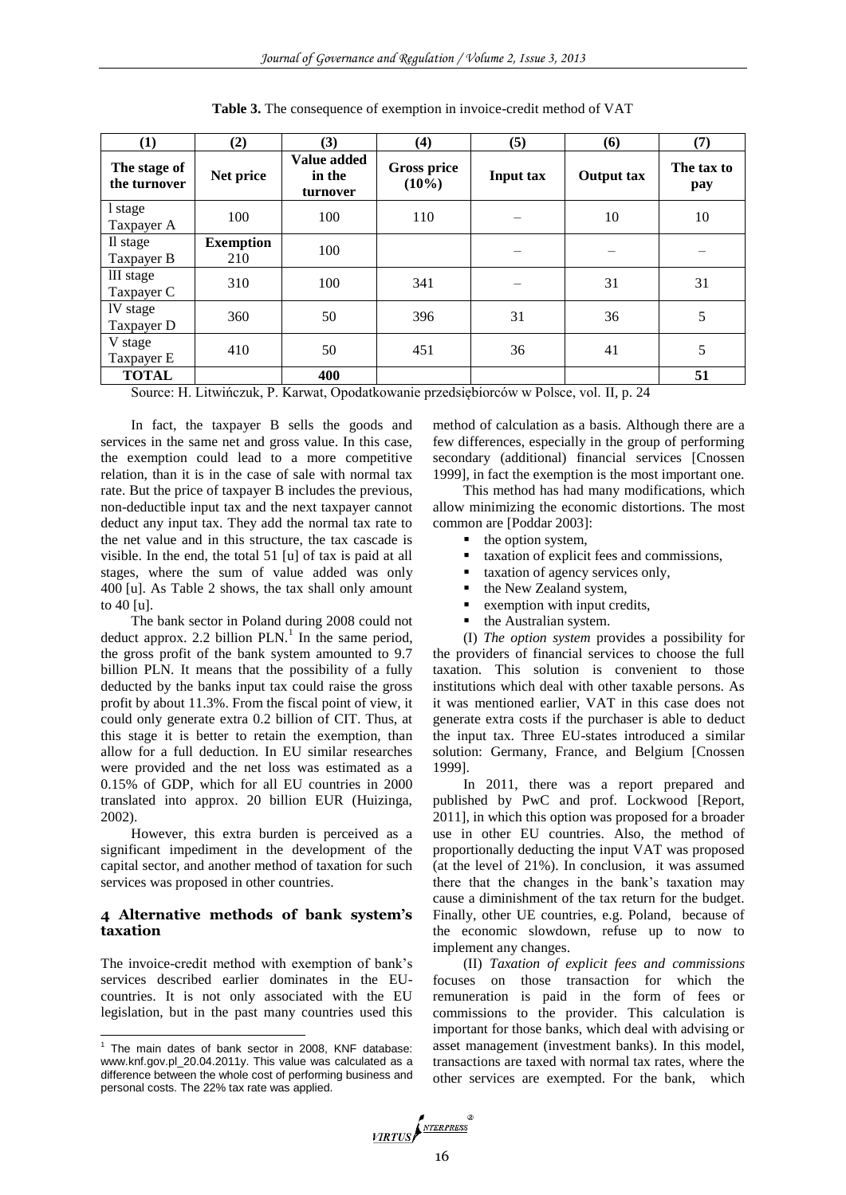| (1)                          | (2)                     | (3)                               | (4)                            | (5)              | (6)               | (7)               |
|------------------------------|-------------------------|-----------------------------------|--------------------------------|------------------|-------------------|-------------------|
| The stage of<br>the turnover | Net price               | Value added<br>in the<br>turnover | <b>Gross price</b><br>$(10\%)$ | <b>Input tax</b> | <b>Output tax</b> | The tax to<br>pay |
| 1 stage<br>Taxpayer A        | 100                     | 100                               | 110                            |                  | 10                | 10                |
| Il stage<br>Taxpayer B       | <b>Exemption</b><br>210 | 100                               |                                |                  |                   |                   |
| III stage<br>Taxpayer C      | 310                     | 100                               | 341                            |                  | 31                | 31                |
| IV stage<br>Taxpayer D       | 360                     | 50                                | 396                            | 31               | 36                | 5                 |
| V stage<br>Taxpayer E        | 410                     | 50                                | 451                            | 36               | 41                | 5                 |
| <b>TOTAL</b>                 |                         | 400                               |                                |                  |                   | 51                |

**Table 3.** The consequence of exemption in invoice-credit method of VAT

Source: H. Litwińczuk, P. Karwat, Opodatkowanie przedsiębiorców w Polsce, vol. II, p. 24

In fact, the taxpayer B sells the goods and services in the same net and gross value. In this case, the exemption could lead to a more competitive relation, than it is in the case of sale with normal tax rate. But the price of taxpayer B includes the previous, non-deductible input tax and the next taxpayer cannot deduct any input tax. They add the normal tax rate to the net value and in this structure, the tax cascade is visible. In the end, the total 51 [u] of tax is paid at all stages, where the sum of value added was only 400 [u]. As Table 2 shows, the tax shall only amount to 40 [u].

The bank sector in Poland during 2008 could not deduct approx. 2.2 billion  $PLN$ <sup>1</sup>. In the same period, the gross profit of the bank system amounted to 9.7 billion PLN. It means that the possibility of a fully deducted by the banks input tax could raise the gross profit by about 11.3%. From the fiscal point of view, it could only generate extra 0.2 billion of CIT. Thus, at this stage it is better to retain the exemption, than allow for a full deduction. In EU similar researches were provided and the net loss was estimated as a 0.15% of GDP, which for all EU countries in 2000 translated into approx. 20 billion EUR (Huizinga, 2002).

However, this extra burden is perceived as a significant impediment in the development of the capital sector, and another method of taxation for such services was proposed in other countries.

#### **4 Alternative methods of bank system's taxation**

The invoice-credit method with exemption of bank's services described earlier dominates in the EUcountries. It is not only associated with the EU legislation, but in the past many countries used this

method of calculation as a basis. Although there are a few differences, especially in the group of performing secondary (additional) financial services [Cnossen 1999], in fact the exemption is the most important one.

This method has had many modifications, which allow minimizing the economic distortions. The most common are [Poddar 2003]:

- the option system,
- taxation of explicit fees and commissions,
- taxation of agency services only,
- the New Zealand system,
- **Exemption with input credits,**
- the Australian system.

(I) *The option system* provides a possibility for the providers of financial services to choose the full taxation. This solution is convenient to those institutions which deal with other taxable persons. As it was mentioned earlier, VAT in this case does not generate extra costs if the purchaser is able to deduct the input tax. Three EU-states introduced a similar solution: Germany, France, and Belgium [Cnossen 1999].

In 2011, there was a report prepared and published by PwC and prof. Lockwood [Report, 2011], in which this option was proposed for a broader use in other EU countries. Also, the method of proportionally deducting the input VAT was proposed (at the level of 21%). In conclusion, it was assumed there that the changes in the bank's taxation may cause a diminishment of the tax return for the budget. Finally, other UE countries, e.g. Poland, because of the economic slowdown, refuse up to now to implement any changes.

(II) *Taxation of explicit fees and commissions* focuses on those transaction for which the remuneration is paid in the form of fees or commissions to the provider. This calculation is important for those banks, which deal with advising or asset management (investment banks). In this model, transactions are taxed with normal tax rates, where the other services are exempted. For the bank, which



 1 The main dates of bank sector in 2008, KNF database: www.knf.gov.pl\_20.04.2011y. This value was calculated as a difference between the whole cost of performing business and personal costs. The 22% tax rate was applied.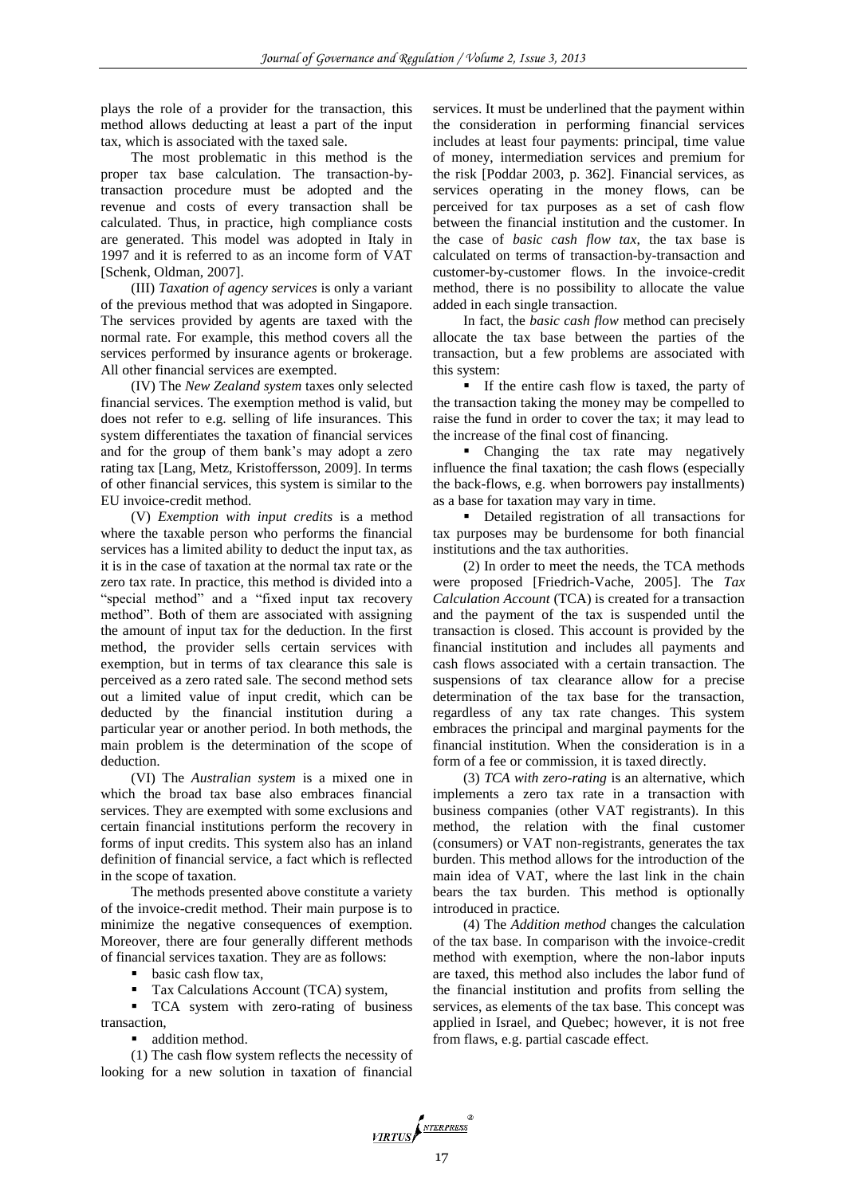plays the role of a provider for the transaction, this method allows deducting at least a part of the input tax, which is associated with the taxed sale.

The most problematic in this method is the proper tax base calculation. The transaction-bytransaction procedure must be adopted and the revenue and costs of every transaction shall be calculated. Thus, in practice, high compliance costs are generated. This model was adopted in Italy in 1997 and it is referred to as an income form of VAT [Schenk, Oldman, 2007].

(III) *Taxation of agency services* is only a variant of the previous method that was adopted in Singapore. The services provided by agents are taxed with the normal rate. For example, this method covers all the services performed by insurance agents or brokerage. All other financial services are exempted.

(IV) The *New Zealand system* taxes only selected financial services. The exemption method is valid, but does not refer to e.g. selling of life insurances. This system differentiates the taxation of financial services and for the group of them bank's may adopt a zero rating tax [Lang, Metz, Kristoffersson, 2009]. In terms of other financial services, this system is similar to the EU invoice-credit method.

(V) *Exemption with input credits* is a method where the taxable person who performs the financial services has a limited ability to deduct the input tax, as it is in the case of taxation at the normal tax rate or the zero tax rate. In practice, this method is divided into a "special method" and a "fixed input tax recovery method". Both of them are associated with assigning the amount of input tax for the deduction. In the first method, the provider sells certain services with exemption, but in terms of tax clearance this sale is perceived as a zero rated sale. The second method sets out a limited value of input credit, which can be deducted by the financial institution during a particular year or another period. In both methods, the main problem is the determination of the scope of deduction.

(VI) The *Australian system* is a mixed one in which the broad tax base also embraces financial services. They are exempted with some exclusions and certain financial institutions perform the recovery in forms of input credits. This system also has an inland definition of financial service, a fact which is reflected in the scope of taxation.

The methods presented above constitute a variety of the invoice-credit method. Their main purpose is to minimize the negative consequences of exemption. Moreover, there are four generally different methods of financial services taxation. They are as follows:

• basic cash flow tax,

Tax Calculations Account (TCA) system,

 TCA system with zero-rating of business transaction,

■ addition method.

(1) The cash flow system reflects the necessity of looking for a new solution in taxation of financial

services. It must be underlined that the payment within the consideration in performing financial services includes at least four payments: principal, time value of money, intermediation services and premium for the risk [Poddar 2003, p. 362]. Financial services, as services operating in the money flows, can be perceived for tax purposes as a set of cash flow between the financial institution and the customer. In the case of *basic cash flow tax*, the tax base is calculated on terms of transaction-by-transaction and customer-by-customer flows. In the invoice-credit method, there is no possibility to allocate the value added in each single transaction.

In fact, the *basic cash flow* method can precisely allocate the tax base between the parties of the transaction, but a few problems are associated with this system:

 If the entire cash flow is taxed, the party of the transaction taking the money may be compelled to raise the fund in order to cover the tax; it may lead to the increase of the final cost of financing.

• Changing the tax rate may negatively influence the final taxation; the cash flows (especially the back-flows, e.g. when borrowers pay installments) as a base for taxation may vary in time.

 Detailed registration of all transactions for tax purposes may be burdensome for both financial institutions and the tax authorities.

(2) In order to meet the needs, the TCA methods were proposed [Friedrich-Vache, 2005]. The *Tax Calculation Account* (TCA) is created for a transaction and the payment of the tax is suspended until the transaction is closed. This account is provided by the financial institution and includes all payments and cash flows associated with a certain transaction. The suspensions of tax clearance allow for a precise determination of the tax base for the transaction, regardless of any tax rate changes. This system embraces the principal and marginal payments for the financial institution. When the consideration is in a form of a fee or commission, it is taxed directly.

(3) *TCA with zero-rating* is an alternative, which implements a zero tax rate in a transaction with business companies (other VAT registrants). In this method, the relation with the final customer (consumers) or VAT non-registrants, generates the tax burden. This method allows for the introduction of the main idea of VAT, where the last link in the chain bears the tax burden. This method is optionally introduced in practice.

(4) The *Addition method* changes the calculation of the tax base. In comparison with the invoice-credit method with exemption, where the non-labor inputs are taxed, this method also includes the labor fund of the financial institution and profits from selling the services, as elements of the tax base. This concept was applied in Israel, and Quebec; however, it is not free from flaws, e.g. partial cascade effect.